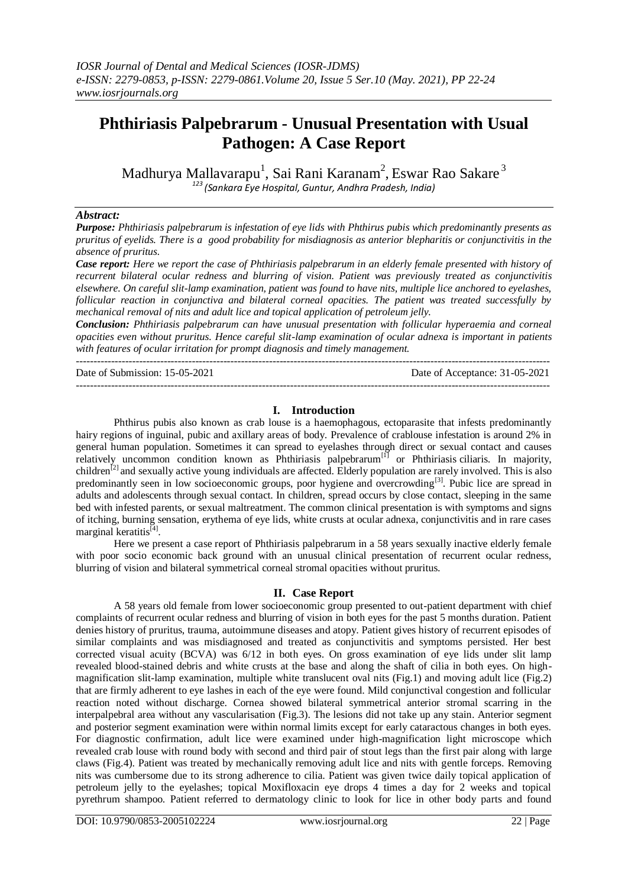# **Phthiriasis Palpebrarum - Unusual Presentation with Usual Pathogen: A Case Report**

Madhurya Mallavarapu $^1$ , Sai Rani Karanam $^2$ , Eswar Rao Sakare $^3$ *<sup>123</sup>(Sankara Eye Hospital, Guntur, Andhra Pradesh, India)*

#### *Abstract:*

*Purpose: Phthiriasis palpebrarum is infestation of eye lids with Phthirus pubis which predominantly presents as pruritus of eyelids. There is a good probability for misdiagnosis as anterior blepharitis or conjunctivitis in the absence of pruritus.*

*Case report: Here we report the case of Phthiriasis palpebrarum in an elderly female presented with history of recurrent bilateral ocular redness and blurring of vision. Patient was previously treated as conjunctivitis elsewhere. On careful slit-lamp examination, patient was found to have nits, multiple lice anchored to eyelashes, follicular reaction in conjunctiva and bilateral corneal opacities. The patient was treated successfully by mechanical removal of nits and adult lice and topical application of petroleum jelly.* 

*Conclusion: Phthiriasis palpebrarum can have unusual presentation with follicular hyperaemia and corneal opacities even without pruritus. Hence careful slit-lamp examination of ocular adnexa is important in patients with features of ocular irritation for prompt diagnosis and timely management.* ---------------------------------------------------------------------------------------------------------------------------------------

Date of Submission: 15-05-2021 Date of Acceptance: 31-05-2021

### **I. Introduction**

---------------------------------------------------------------------------------------------------------------------------------------

Phthirus pubis also known as crab louse is a haemophagous, ectoparasite that infests predominantly hairy regions of inguinal, pubic and axillary areas of body. Prevalence of crablouse infestation is around 2% in general human population. Sometimes it can spread to eyelashes through direct or sexual contact and causes relatively uncommon condition known as Phthiriasis palpebrarum<sup>[1]</sup> or Phthiriasis ciliaris. In majority, children<sup>[2]</sup> and sexually active young individuals are affected. Elderly population are rarely involved. This is also predominantly seen in low socioeconomic groups, poor hygiene and overcrowding<sup>[3]</sup>. Pubic lice are spread in adults and adolescents through sexual contact. In children, spread occurs by close contact, sleeping in the same bed with infested parents, or sexual maltreatment. The common clinical presentation is with symptoms and signs of itching, burning sensation, erythema of eye lids, white crusts at ocular adnexa, conjunctivitis and in rare cases marginal keratitis<sup>[4]</sup>.

Here we present a case report of Phthiriasis palpebrarum in a 58 years sexually inactive elderly female with poor socio economic back ground with an unusual clinical presentation of recurrent ocular redness, blurring of vision and bilateral symmetrical corneal stromal opacities without pruritus.

#### **II. Case Report**

A 58 years old female from lower socioeconomic group presented to out-patient department with chief complaints of recurrent ocular redness and blurring of vision in both eyes for the past 5 months duration. Patient denies history of pruritus, trauma, autoimmune diseases and atopy. Patient gives history of recurrent episodes of similar complaints and was misdiagnosed and treated as conjunctivitis and symptoms persisted. Her best corrected visual acuity (BCVA) was 6/12 in both eyes. On gross examination of eye lids under slit lamp revealed blood-stained debris and white crusts at the base and along the shaft of cilia in both eyes. On highmagnification slit-lamp examination, multiple white translucent oval nits (Fig.1) and moving adult lice (Fig.2) that are firmly adherent to eye lashes in each of the eye were found. Mild conjunctival congestion and follicular reaction noted without discharge. Cornea showed bilateral symmetrical anterior stromal scarring in the interpalpebral area without any vascularisation (Fig.3). The lesions did not take up any stain. Anterior segment and posterior segment examination were within normal limits except for early cataractous changes in both eyes. For diagnostic confirmation, adult lice were examined under high-magnification light microscope which revealed crab louse with round body with second and third pair of stout legs than the first pair along with large claws (Fig.4). Patient was treated by mechanically removing adult lice and nits with gentle forceps. Removing nits was cumbersome due to its strong adherence to cilia. Patient was given twice daily topical application of petroleum jelly to the eyelashes; topical Moxifloxacin eye drops 4 times a day for 2 weeks and topical pyrethrum shampoo. Patient referred to dermatology clinic to look for lice in other body parts and found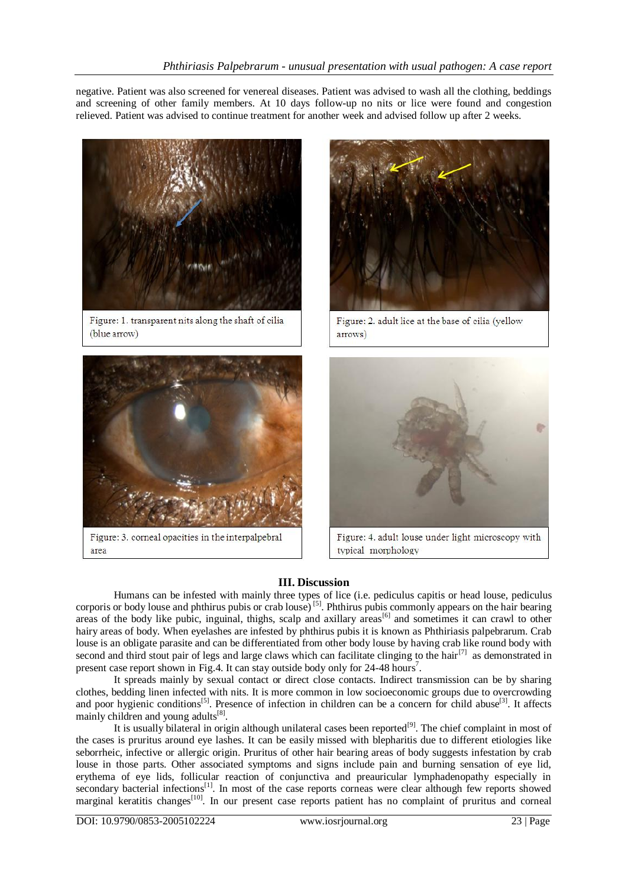negative. Patient was also screened for venereal diseases. Patient was advised to wash all the clothing, beddings and screening of other family members. At 10 days follow-up no nits or lice were found and congestion relieved. Patient was advised to continue treatment for another week and advised follow up after 2 weeks.



Figure: 1. transparent nits along the shaft of cilia (blue arrow)



Figure: 3. corneal opacities in the interpalpebral area



Figure: 2. adult lice at the base of cilia (yellow arrows)



Figure: 4. adult louse under light microscopy with typical morphology

## **III. Discussion**

Humans can be infested with mainly three types of lice (i.e. pediculus capitis or head louse, pediculus corporis or body louse and phthirus pubis or crab louse)<sup>[5]</sup>. Phthirus pubis commonly appears on the hair bearing areas of the body like pubic, inguinal, thighs, scalp and axillary areas<sup>[6]</sup> and sometimes it can crawl to other hairy areas of body. When eyelashes are infested by phthirus pubis it is known as Phthiriasis palpebrarum. Crab louse is an obligate parasite and can be differentiated from other body louse by having crab like round body with second and third stout pair of legs and large claws which can facilitate clinging to the hair<sup>[7]</sup> as demonstrated in present case report shown in Fig.4. It can stay outside body only for 24-48 hours<sup>7</sup>.

It spreads mainly by sexual contact or direct close contacts. Indirect transmission can be by sharing clothes, bedding linen infected with nits. It is more common in low socioeconomic groups due to overcrowding and poor hygienic conditions<sup>[5]</sup>. Presence of infection in children can be a concern for child abuse<sup>[3]</sup>. It affects mainly children and young adults<sup>[8]</sup>.

It is usually bilateral in origin although unilateral cases been reported<sup>[9]</sup>. The chief complaint in most of the cases is pruritus around eye lashes. It can be easily missed with blepharitis due to different etiologies like seborrheic, infective or allergic origin. Pruritus of other hair bearing areas of body suggests infestation by crab louse in those parts. Other associated symptoms and signs include pain and burning sensation of eye lid, erythema of eye lids, follicular reaction of conjunctiva and preauricular lymphadenopathy especially in secondary bacterial infections<sup>[1]</sup>. In most of the case reports corneas were clear although few reports showed marginal keratitis changes<sup>[10]</sup>. In our present case reports patient has no complaint of pruritus and corneal